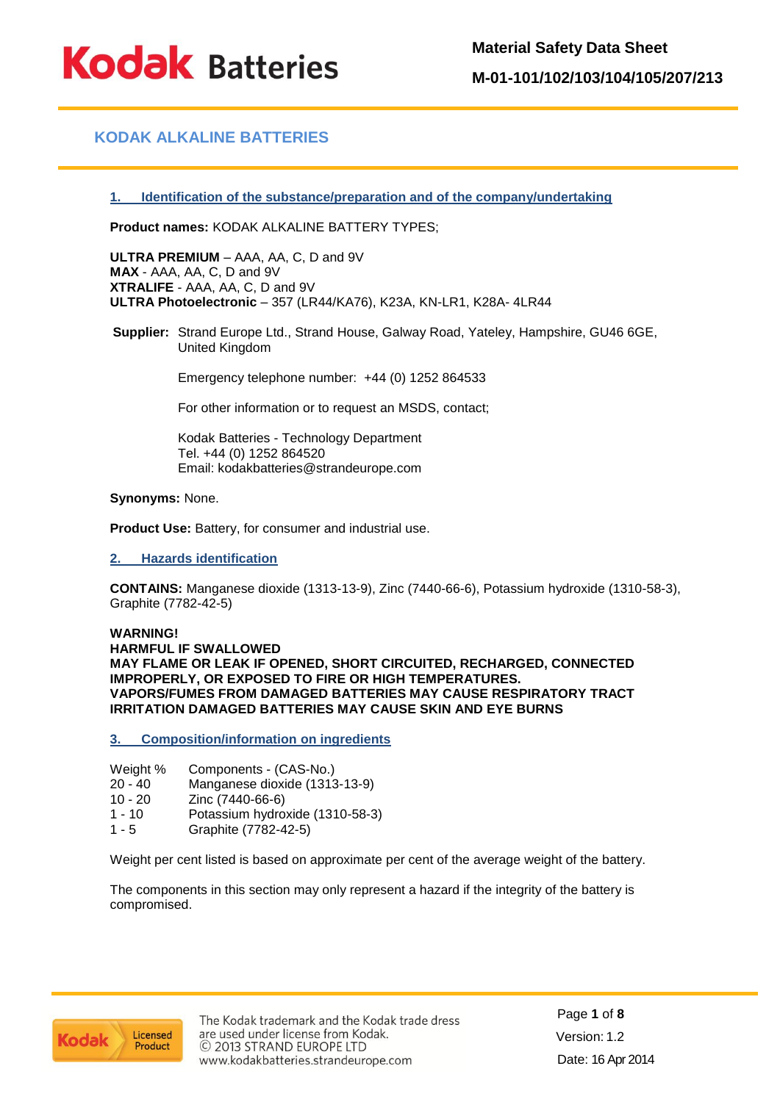**Kodak Batteries** 

**Material Safety Data Sheet**

**M-01-101/102/103/104/105/207/213**

## **KODAK ALKALINE BATTERIES**

### **1. Identification of the substance/preparation and of the company/undertaking**

**Product names:** KODAK ALKALINE BATTERY TYPES;

**ULTRA PREMIUM** – AAA, AA, C, D and 9V **MAX** - AAA, AA, C, D and 9V **XTRALIFE** - AAA, AA, C, D and 9V **ULTRA Photoelectronic** – 357 (LR44/KA76), K23A, KN-LR1, K28A- 4LR44

**Supplier:** Strand Europe Ltd., Strand House, Galway Road, Yateley, Hampshire, GU46 6GE, United Kingdom

Emergency telephone number: +44 (0) 1252 864533

For other information or to request an MSDS, contact;

Kodak Batteries - Technology Department Tel. +44 (0) 1252 864520 Email: kodakbatteries@strandeurope.com

### **Synonyms:** None.

**Product Use:** Battery, for consumer and industrial use.

### **2. Hazards identification**

**CONTAINS:** Manganese dioxide (1313-13-9), Zinc (7440-66-6), Potassium hydroxide (1310-58-3), Graphite (7782-42-5)

### **WARNING!**

**HARMFUL IF SWALLOWED MAY FLAME OR LEAK IF OPENED, SHORT CIRCUITED, RECHARGED, CONNECTED IMPROPERLY, OR EXPOSED TO FIRE OR HIGH TEMPERATURES. VAPORS/FUMES FROM DAMAGED BATTERIES MAY CAUSE RESPIRATORY TRACT IRRITATION DAMAGED BATTERIES MAY CAUSE SKIN AND EYE BURNS**

**3. Composition/information on ingredients**

- Weight % Components (CAS-No.)
- 20 40 Manganese dioxide (1313-13-9)
- Zinc (7440-66-6)
- 1 10 Potassium hydroxide (1310-58-3)
- 1 5 Graphite (7782-42-5)

Weight per cent listed is based on approximate per cent of the average weight of the battery.

The components in this section may only represent a hazard if the integrity of the battery is compromised.

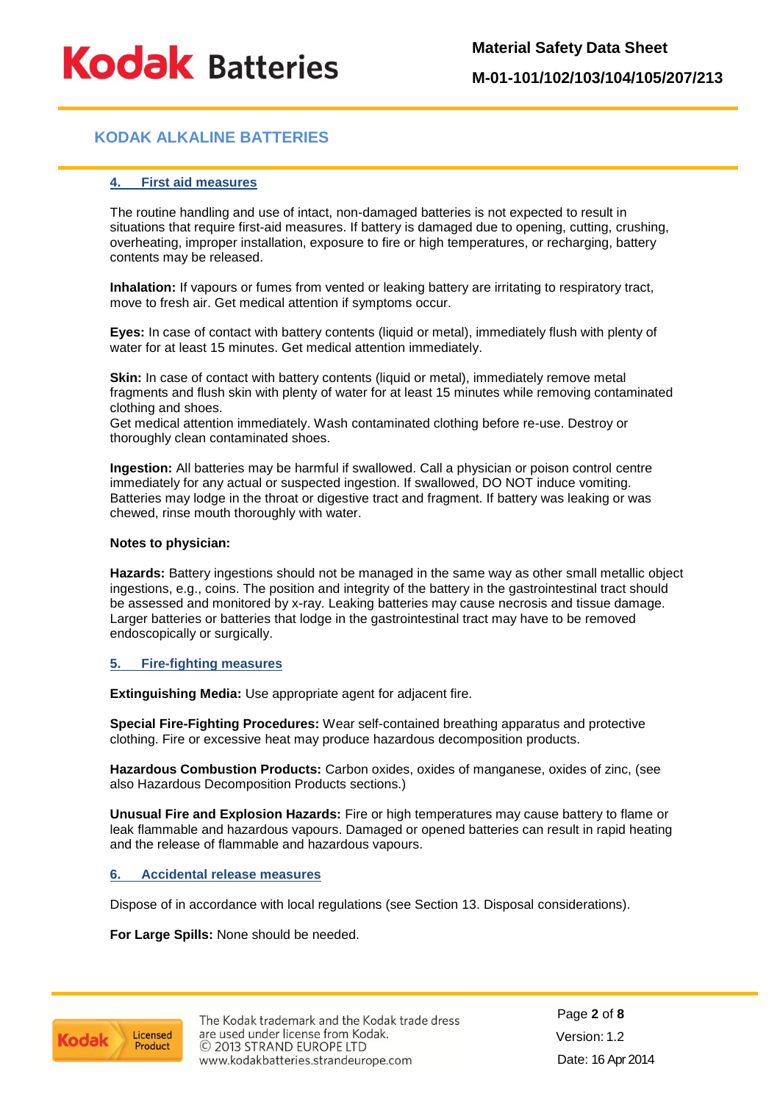# **KODAK ALKALINE BATTERIES**

### **4. First aid measures**

The routine handling and use of intact, non-damaged batteries is not expected to result in situations that require first-aid measures. If battery is damaged due to opening, cutting, crushing, overheating, improper installation, exposure to fire or high temperatures, or recharging, battery contents may be released.

**Inhalation:** If vapours or fumes from vented or leaking battery are irritating to respiratory tract, move to fresh air. Get medical attention if symptoms occur.

**Eyes:** In case of contact with battery contents (liquid or metal), immediately flush with plenty of water for at least 15 minutes. Get medical attention immediately.

**Skin:** In case of contact with battery contents (liquid or metal), immediately remove metal fragments and flush skin with plenty of water for at least 15 minutes while removing contaminated clothing and shoes.

Get medical attention immediately. Wash contaminated clothing before re-use. Destroy or thoroughly clean contaminated shoes.

**Ingestion:** All batteries may be harmful if swallowed. Call a physician or poison control centre immediately for any actual or suspected ingestion. If swallowed, DO NOT induce vomiting. Batteries may lodge in the throat or digestive tract and fragment. If battery was leaking or was chewed, rinse mouth thoroughly with water.

### **Notes to physician:**

**Hazards:** Battery ingestions should not be managed in the same way as other small metallic object ingestions, e.g., coins. The position and integrity of the battery in the gastrointestinal tract should be assessed and monitored by x-ray. Leaking batteries may cause necrosis and tissue damage. Larger batteries or batteries that lodge in the gastrointestinal tract may have to be removed endoscopically or surgically.

### **5. Fire-fighting measures**

**Extinguishing Media:** Use appropriate agent for adjacent fire.

**Special Fire-Fighting Procedures:** Wear self-contained breathing apparatus and protective clothing. Fire or excessive heat may produce hazardous decomposition products.

**Hazardous Combustion Products:** Carbon oxides, oxides of manganese, oxides of zinc, (see also Hazardous Decomposition Products sections.)

**Unusual Fire and Explosion Hazards:** Fire or high temperatures may cause battery to flame or leak flammable and hazardous vapours. Damaged or opened batteries can result in rapid heating and the release of flammable and hazardous vapours.

### **6. Accidental release measures**

Dispose of in accordance with local regulations (see Section 13. Disposal considerations).

**For Large Spills:** None should be needed.

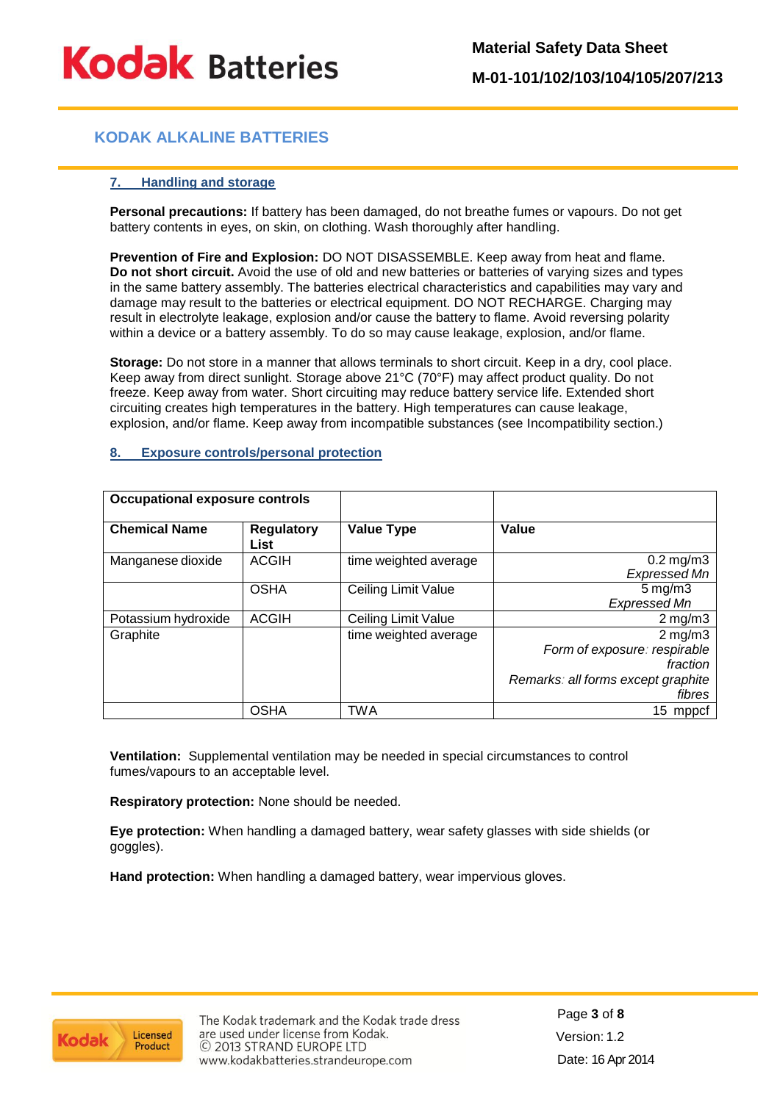**Material Safety Data Sheet**

**M-01-101/102/103/104/105/207/213**

# **KODAK ALKALINE BATTERIES**

### **7. Handling and storage**

**Personal precautions:** If battery has been damaged, do not breathe fumes or vapours. Do not get battery contents in eyes, on skin, on clothing. Wash thoroughly after handling.

**Prevention of Fire and Explosion:** DO NOT DISASSEMBLE. Keep away from heat and flame. **Do not short circuit.** Avoid the use of old and new batteries or batteries of varying sizes and types in the same battery assembly. The batteries electrical characteristics and capabilities may vary and damage may result to the batteries or electrical equipment. DO NOT RECHARGE. Charging may result in electrolyte leakage, explosion and/or cause the battery to flame. Avoid reversing polarity within a device or a battery assembly. To do so may cause leakage, explosion, and/or flame.

**Storage:** Do not store in a manner that allows terminals to short circuit. Keep in a dry, cool place. Keep away from direct sunlight. Storage above 21°C (70°F) may affect product quality. Do not freeze. Keep away from water. Short circuiting may reduce battery service life. Extended short circuiting creates high temperatures in the battery. High temperatures can cause leakage, explosion, and/or flame. Keep away from incompatible substances (see Incompatibility section.)

### **8. Exposure controls/personal protection**

| <b>Occupational exposure controls</b> |                           |                       |                                                                                                                 |
|---------------------------------------|---------------------------|-----------------------|-----------------------------------------------------------------------------------------------------------------|
| <b>Chemical Name</b>                  | <b>Regulatory</b><br>List | <b>Value Type</b>     | Value                                                                                                           |
| Manganese dioxide                     | <b>ACGIH</b>              | time weighted average | $0.2$ mg/m $3$<br><b>Expressed Mn</b>                                                                           |
|                                       | <b>OSHA</b>               | Ceiling Limit Value   | $5 \,\mathrm{mg/m}$<br>Expressed Mn                                                                             |
| Potassium hydroxide                   | <b>ACGIH</b>              | Ceiling Limit Value   | $2$ mg/m $3$                                                                                                    |
| Graphite                              |                           | time weighted average | $2 \,\mathrm{mg/m}$<br>Form of exposure: respirable<br>fraction<br>Remarks: all forms except graphite<br>fibres |
|                                       | <b>OSHA</b>               | TWA                   | 15 mppcf                                                                                                        |

**Ventilation:** Supplemental ventilation may be needed in special circumstances to control fumes/vapours to an acceptable level.

**Respiratory protection:** None should be needed.

**Eye protection:** When handling a damaged battery, wear safety glasses with side shields (or goggles).

**Hand protection:** When handling a damaged battery, wear impervious gloves.

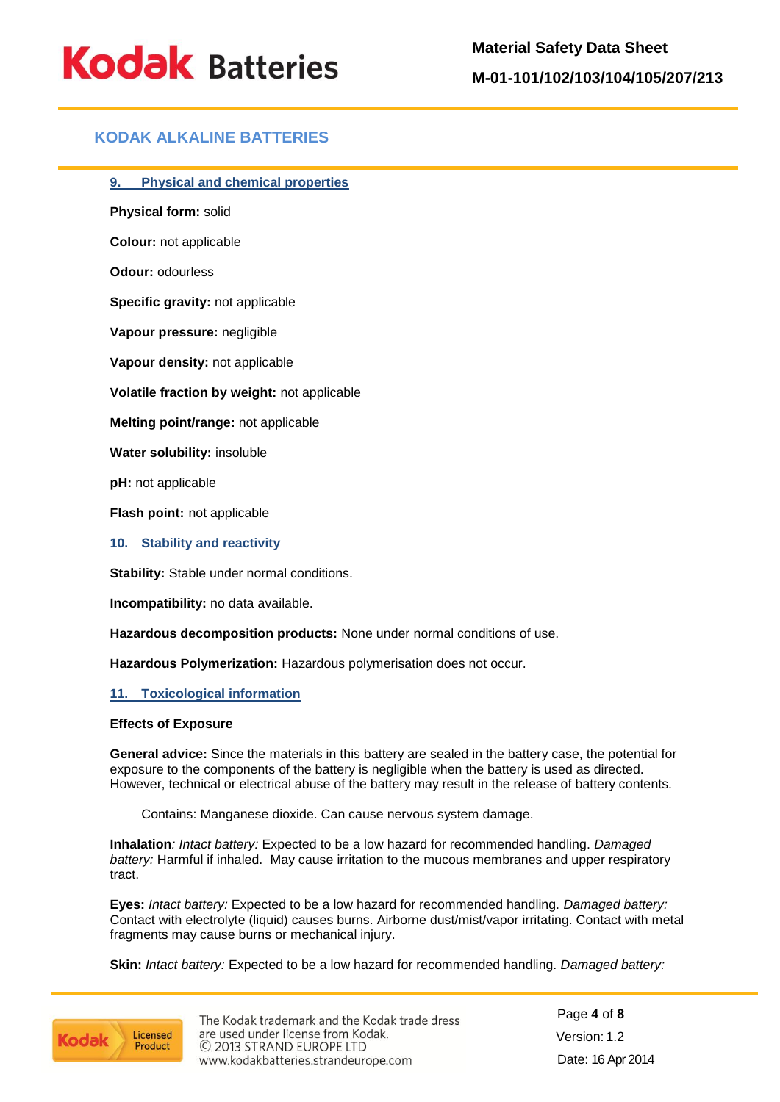## **KODAK ALKALINE BATTERIES**

**9. Physical and chemical properties**

**Physical form:** solid

**Colour:** not applicable

**Odour:** odourless

**Specific gravity:** not applicable

**Vapour pressure:** negligible

**Vapour density:** not applicable

**Volatile fraction by weight:** not applicable

**Melting point/range:** not applicable

**Water solubility:** insoluble

**pH:** not applicable

**Flash point:** not applicable

**10. Stability and reactivity**

**Stability:** Stable under normal conditions.

**Incompatibility:** no data available.

**Hazardous decomposition products:** None under normal conditions of use.

**Hazardous Polymerization:** Hazardous polymerisation does not occur.

### **11. Toxicological information**

### **Effects of Exposure**

**General advice:** Since the materials in this battery are sealed in the battery case, the potential for exposure to the components of the battery is negligible when the battery is used as directed. However, technical or electrical abuse of the battery may result in the release of battery contents.

Contains: Manganese dioxide. Can cause nervous system damage.

**Inhalation***: Intact battery:* Expected to be a low hazard for recommended handling. *Damaged battery:* Harmful if inhaled. May cause irritation to the mucous membranes and upper respiratory tract.

**Eyes:** *Intact battery:* Expected to be a low hazard for recommended handling. *Damaged battery:* Contact with electrolyte (liquid) causes burns. Airborne dust/mist/vapor irritating. Contact with metal fragments may cause burns or mechanical injury.

**Skin:** *Intact battery:* Expected to be a low hazard for recommended handling. *Damaged battery:*

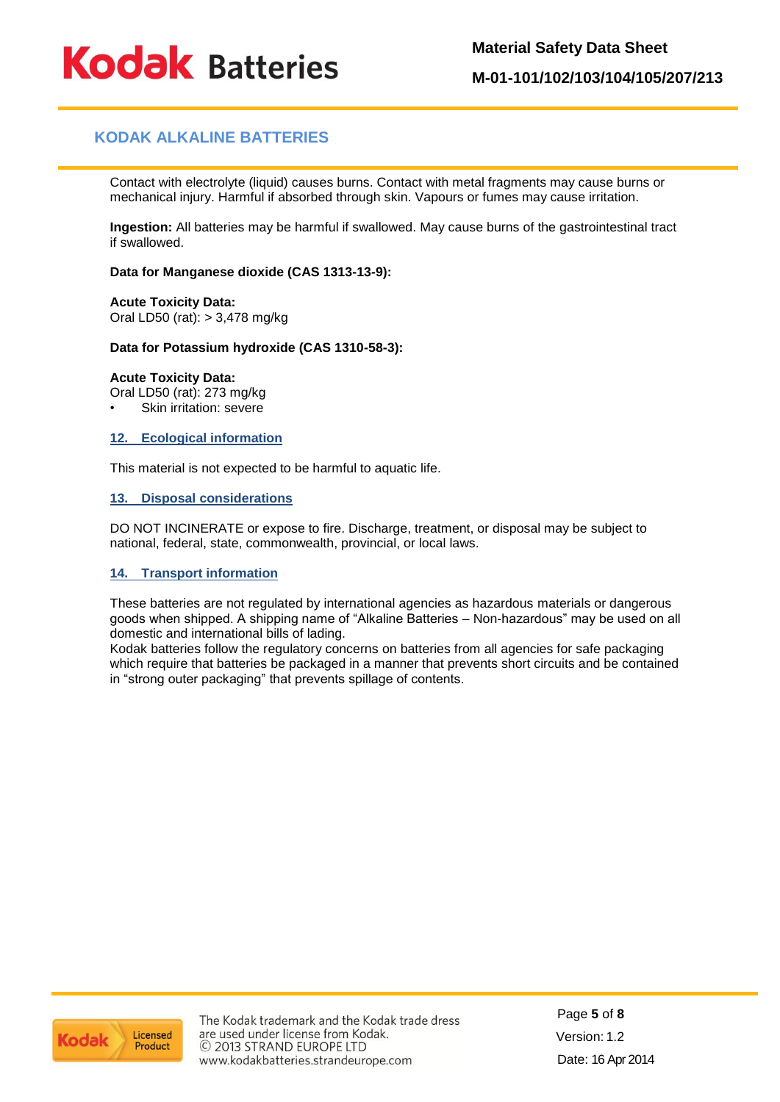**Material Safety Data Sheet**

**Kodak Batteries** 

**M-01-101/102/103/104/105/207/213**

# **KODAK ALKALINE BATTERIES**

Contact with electrolyte (liquid) causes burns. Contact with metal fragments may cause burns or mechanical injury. Harmful if absorbed through skin. Vapours or fumes may cause irritation.

**Ingestion:** All batteries may be harmful if swallowed. May cause burns of the gastrointestinal tract if swallowed.

### **Data for Manganese dioxide (CAS 1313-13-9):**

**Acute Toxicity Data:** Oral LD50 (rat): > 3,478 mg/kg

### **Data for Potassium hydroxide (CAS 1310-58-3):**

### **Acute Toxicity Data:**

Oral LD50 (rat): 273 mg/kg

Skin irritation: severe

### **12. Ecological information**

This material is not expected to be harmful to aquatic life.

### **13. Disposal considerations**

DO NOT INCINERATE or expose to fire. Discharge, treatment, or disposal may be subject to national, federal, state, commonwealth, provincial, or local laws.

## **14. Transport information**

These batteries are not regulated by international agencies as hazardous materials or dangerous goods when shipped. A shipping name of "Alkaline Batteries – Non-hazardous" may be used on all domestic and international bills of lading.

Kodak batteries follow the regulatory concerns on batteries from all agencies for safe packaging which require that batteries be packaged in a manner that prevents short circuits and be contained in "strong outer packaging" that prevents spillage of contents.



The Kodak trademark and the Kodak trade dress are used under license from Kodak. © 2013 STRAND EUROPE LTD www.kodakbatteries.strandeurope.com

Page **5** of **8** Version: 1.2 Date: 16 Apr 2014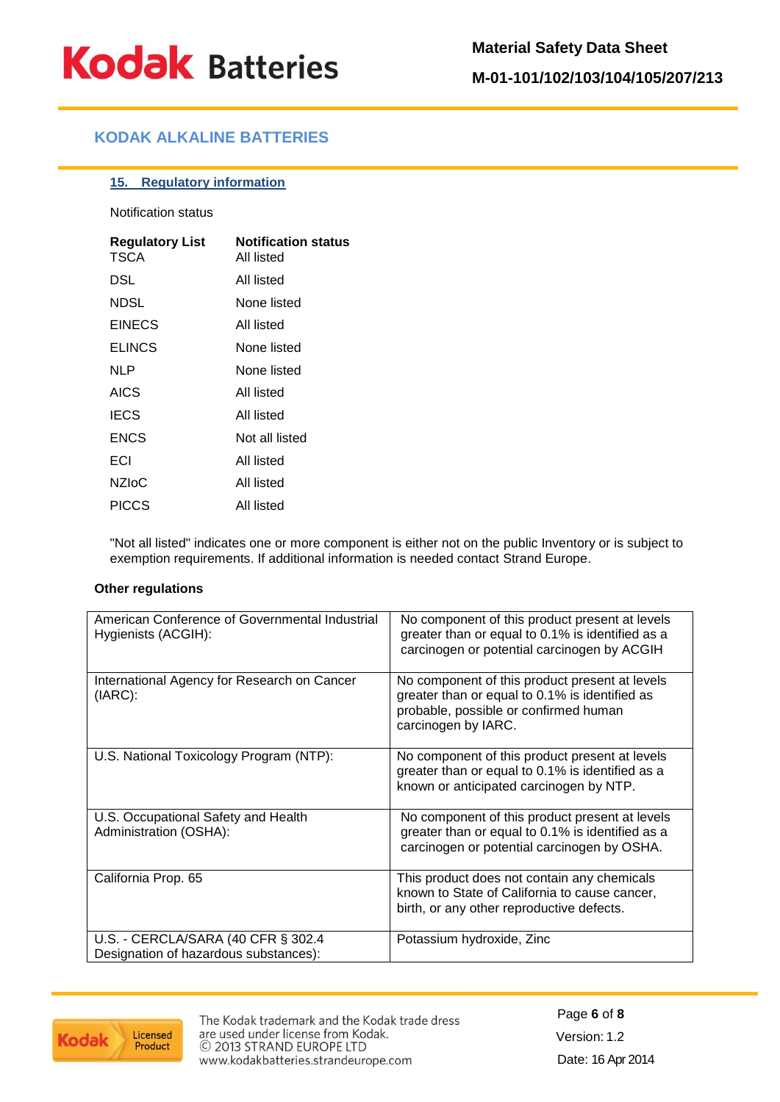# **KODAK ALKALINE BATTERIES**

### **15. Regulatory information**

Notification status

| <b>Regulatory List</b><br>TSCA | <b>Notification status</b><br>All listed |
|--------------------------------|------------------------------------------|
| DSL                            | All listed                               |
| NDSL                           | None listed                              |
| <b>EINECS</b>                  | All listed                               |
| <b>ELINCS</b>                  | None listed                              |
| NLP                            | None listed                              |
| <b>AICS</b>                    | All listed                               |
| <b>IECS</b>                    | All listed                               |
| <b>ENCS</b>                    | Not all listed                           |
| ECI                            | All listed                               |
| <b>NZIOC</b>                   | All listed                               |
| <b>PICCS</b>                   | All listed                               |

"Not all listed" indicates one or more component is either not on the public Inventory or is subject to exemption requirements. If additional information is needed contact Strand Europe.

### **Other regulations**

| American Conference of Governmental Industrial<br>Hygienists (ACGIH):       | No component of this product present at levels<br>greater than or equal to 0.1% is identified as a<br>carcinogen or potential carcinogen by ACGIH                |
|-----------------------------------------------------------------------------|------------------------------------------------------------------------------------------------------------------------------------------------------------------|
| International Agency for Research on Cancer<br>$(IARC)$ :                   | No component of this product present at levels<br>greater than or equal to 0.1% is identified as<br>probable, possible or confirmed human<br>carcinogen by IARC. |
| U.S. National Toxicology Program (NTP):                                     | No component of this product present at levels<br>greater than or equal to 0.1% is identified as a<br>known or anticipated carcinogen by NTP.                    |
| U.S. Occupational Safety and Health<br>Administration (OSHA):               | No component of this product present at levels<br>greater than or equal to 0.1% is identified as a<br>carcinogen or potential carcinogen by OSHA.                |
| California Prop. 65                                                         | This product does not contain any chemicals<br>known to State of California to cause cancer,<br>birth, or any other reproductive defects.                        |
| U.S. - CERCLA/SARA (40 CFR § 302.4<br>Designation of hazardous substances): | Potassium hydroxide, Zinc                                                                                                                                        |



The Kodak trademark and the Kodak trade dress are used under license from Kodak. C 2013 STRAND EUROPE LTD www.kodakbatteries.strandeurope.com

Page **6** of **8** Version: 1.2 Date: 16 Apr 2014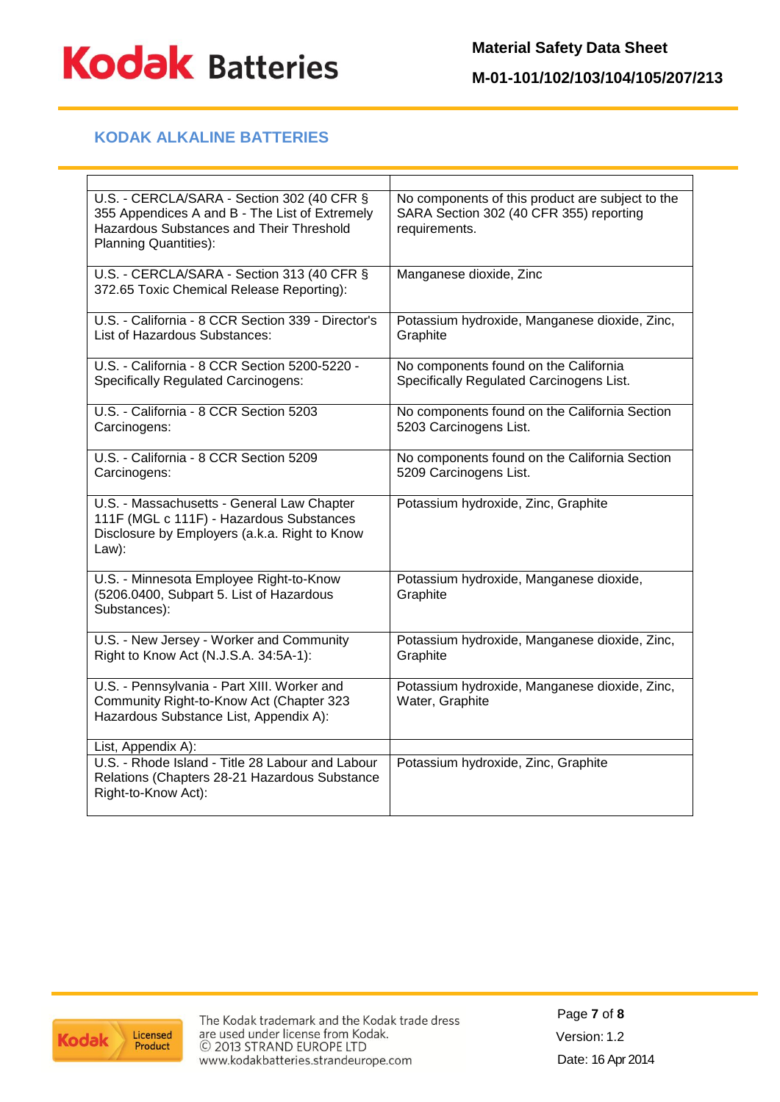

# **KODAK ALKALINE BATTERIES**

| U.S. - CERCLA/SARA - Section 302 (40 CFR §<br>355 Appendices A and B - The List of Extremely<br><b>Hazardous Substances and Their Threshold</b><br><b>Planning Quantities):</b> | No components of this product are subject to the<br>SARA Section 302 (40 CFR 355) reporting<br>requirements. |
|---------------------------------------------------------------------------------------------------------------------------------------------------------------------------------|--------------------------------------------------------------------------------------------------------------|
| U.S. - CERCLA/SARA - Section 313 (40 CFR §<br>372.65 Toxic Chemical Release Reporting):                                                                                         | Manganese dioxide, Zinc                                                                                      |
| U.S. - California - 8 CCR Section 339 - Director's<br>List of Hazardous Substances:                                                                                             | Potassium hydroxide, Manganese dioxide, Zinc,<br>Graphite                                                    |
| U.S. - California - 8 CCR Section 5200-5220 -<br><b>Specifically Regulated Carcinogens:</b>                                                                                     | No components found on the California<br>Specifically Regulated Carcinogens List.                            |
| U.S. - California - 8 CCR Section 5203<br>Carcinogens:                                                                                                                          | No components found on the California Section<br>5203 Carcinogens List.                                      |
| U.S. - California - 8 CCR Section 5209<br>Carcinogens:                                                                                                                          | No components found on the California Section<br>5209 Carcinogens List.                                      |
| U.S. - Massachusetts - General Law Chapter<br>111F (MGL c 111F) - Hazardous Substances<br>Disclosure by Employers (a.k.a. Right to Know<br>Law):                                | Potassium hydroxide, Zinc, Graphite                                                                          |
| U.S. - Minnesota Employee Right-to-Know<br>(5206.0400, Subpart 5. List of Hazardous<br>Substances):                                                                             | Potassium hydroxide, Manganese dioxide,<br>Graphite                                                          |
| U.S. - New Jersey - Worker and Community<br>Right to Know Act (N.J.S.A. 34:5A-1):                                                                                               | Potassium hydroxide, Manganese dioxide, Zinc,<br>Graphite                                                    |
| U.S. - Pennsylvania - Part XIII. Worker and<br>Community Right-to-Know Act (Chapter 323<br>Hazardous Substance List, Appendix A):                                               | Potassium hydroxide, Manganese dioxide, Zinc,<br>Water, Graphite                                             |
| List, Appendix A):                                                                                                                                                              |                                                                                                              |
| U.S. - Rhode Island - Title 28 Labour and Labour<br>Relations (Chapters 28-21 Hazardous Substance<br>Right-to-Know Act):                                                        | Potassium hydroxide, Zinc, Graphite                                                                          |